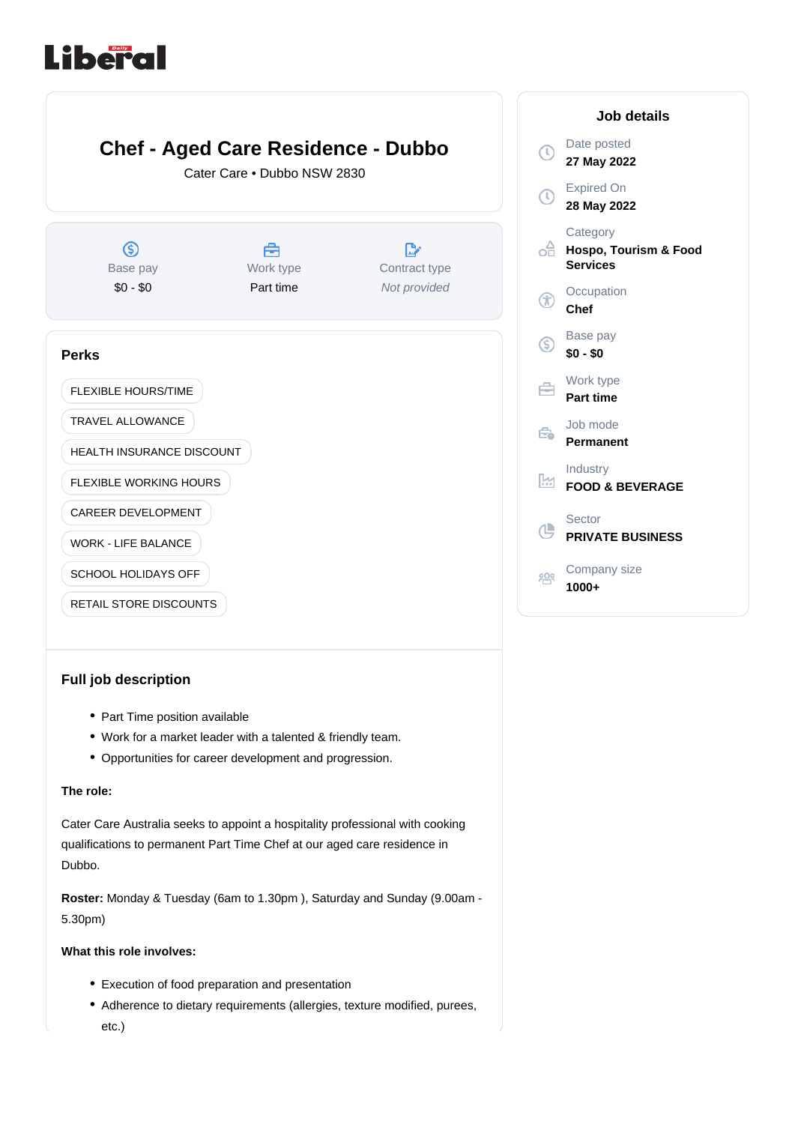# Liberal



## **Full job description**

- Part Time position available
- Work for a market leader with a talented & friendly team.
- Opportunities for career development and progression.

## **The role:**

Cater Care Australia seeks to appoint a hospitality professional with cooking qualifications to permanent Part Time Chef at our aged care residence in Dubbo.

Roster: Monday & Tuesday (6am to 1.30pm), Saturday and Sunday (9.00am -5.30pm)

### **What this role involves:**

- Execution of food preparation and presentation
- Adherence to dietary requirements (allergies, texture modified, purees, etc.)

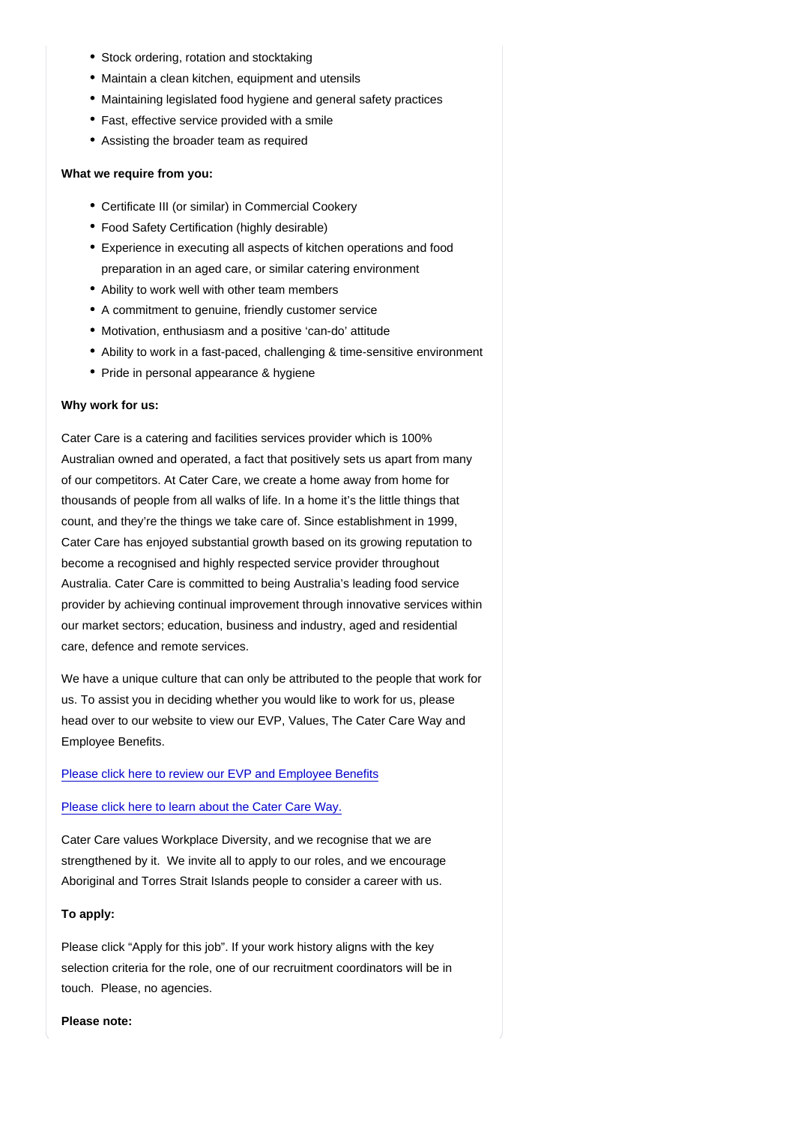- Stock ordering, rotation and stocktaking
- Maintain a clean kitchen, equipment and utensils
- Maintaining legislated food hygiene and general safety practices
- Fast, effective service provided with a smile
- Assisting the broader team as required

What we require from you:

- Certificate III (or similar) in Commercial Cookery
- Food Safety Certification (highly desirable)
- Experience in executing all aspects of kitchen operations and food preparation in an aged care, or similar catering environment
- Ability to work well with other team members
- A commitment to genuine, friendly customer service
- Motivation, enthusiasm and a positive 'can-do' attitude
- Ability to work in a fast-paced, challenging & time-sensitive environment
- Pride in personal appearance & hygiene

#### Why work for us:

Cater Care is a catering and facilities services provider which is 100% Australian owned and operated, a fact that positively sets us apart from many of our competitors. At Cater Care, we create a home away from home for thousands of people from all walks of life. In a home it's the little things that count, and they're the things we take care of. Since establishment in 1999, Cater Care has enjoyed substantial growth based on its growing reputation to become a recognised and highly respected service provider throughout Australia. Cater Care is committed to being Australia's leading food service provider by achieving continual improvement through innovative services within our market sectors; education, business and industry, aged and residential care, defence and remote services.

We have a unique culture that can only be attributed to the people that work for us. To assist you in deciding whether you would like to work for us, please head over to our website to view our EVP, Values, The Cater Care Way and Employee Benefits.

#### [Please click here to review our EVP and Employee Benefits](https://www.catercare.com.au/working-for-us/)

#### [Please click here to learn about the Cater Care Way.](https://www.catercare.com.au/the-cater-care-way/)

Cater Care values Workplace Diversity, and we recognise that we are strengthened by it. We invite all to apply to our roles, and we encourage Aboriginal and Torres Strait Islands people to consider a career with us.

#### To apply:

Please click "Apply for this job". If your work history aligns with the key selection criteria for the role, one of our recruitment coordinators will be in touch. Please, no agencies.

Please note: